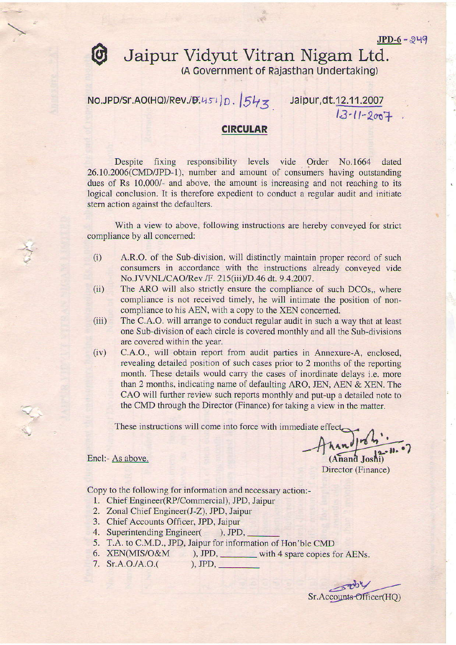## **O** Jaipur Vidyut Vitran Nigam Ltd. (A Covernment of Rajasthan undertaking)

 $NO.JPD/Sr.AO(HQ)/Rev.JB.451|D.$   $|543\rangle$  Jaipur,dt.12.11.2007

 $13 - 11 - 2007$ 

## **CIRCULAR**

Despite fixing responsibility levels vide Order No.1664 dated 26.10.2006(CMD/JPD-1), number and amount of consumers having outstanding dues of Rs 10,000/- and above, the amount is increasing and not reaching to its logical conclusion. It is therefore expedient to conduct a regular audit and initiate stern action against the defaulters.

With a view to above, following instructions are hereby conveyed for strict compliance by all concemed:

- $(i)$  A.R.O. of the Sub-division, will distinctly maintain proper record of such consumers in accordance with the instructions already conveyed vide No.JVVNL/CAO/Rev./F. 215(iii)/D.46 dt. 9.4.2007.<br>(ii) The ARO will also strictly ensure the compliance of such DCOs,, where
- compliance is not rcceived timely, he will intimate the position of non-
- compliance to his AEN, with a copy to the XEN concerned.<br>(iii) The C.A.O. will arrange to conduct regular audit in such a way that at least one Sub-division of each circle is covered monthly and all the Sub-divisions are covered within the year.
- (iv) C.A.O., will obtain report from audit parties in Annexure-A, enclosed, revealing detailed position of such cases prior to 2 months of the reporting month. These details would carry the cases of inordinate delays *i.e.* more than 2 months, indicating name of defaulting ARO, JEN, AEN  $&$  XEN. The CAO will further review such reports monthly and put-up a detailed note to the CMD through the Director (Finance) for taking a view in the matter.

These instructions will come into force with immediate effect

(Anand Joshi)

Director (Finance)

Copy to the following for information and necessary action:-

- <sup>I</sup>. Chief Engineer(RP/Commercial), JPD, Jaipur
- 2. Zonal Chief Engineer(J-Z), JPD, Jaipur
- 3. Chief Accounts Officer, JPD, Jaipur
- 4. Superintending Engineer( ), JPD,

Encl:- As above.

- 5. T.A. to C.M.D., JPD, Jaipur for information of Hon'ble CMD
- 6.  $XEN(MIS/O&M)$ , JPD, with 4 spare copies for AENs.<br>7.  $Sr.A.O./A.O.()$ , JPD,
- 7. Sr.A.O./A.O.(

Sr.Accounts Officer(HQ)